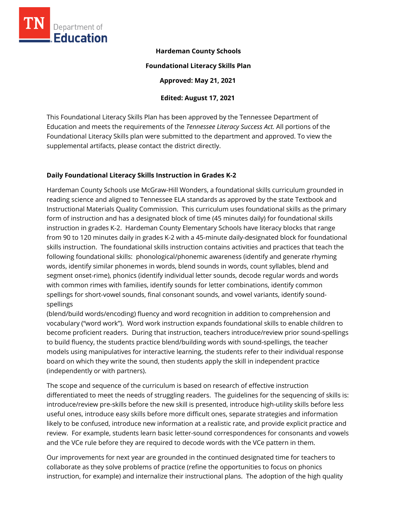

## **Hardeman County Schools**

#### **Foundational Literacy Skills Plan**

**Approved: May 21, 2021** 

## **Edited: August 17, 2021**

This Foundational Literacy Skills Plan has been approved by the Tennessee Department of Education and meets the requirements of the *Tennessee Literacy Success Act.* All portions of the Foundational Literacy Skills plan were submitted to the department and approved. To view the supplemental artifacts, please contact the district directly.

## **Daily Foundational Literacy Skills Instruction in Grades K-2**

Hardeman County Schools use McGraw-Hill Wonders, a foundational skills curriculum grounded in reading science and aligned to Tennessee ELA standards as approved by the state Textbook and Instructional Materials Quality Commission. This curriculum uses foundational skills as the primary form of instruction and has a designated block of time (45 minutes daily) for foundational skills instruction in grades K-2. Hardeman County Elementary Schools have literacy blocks that range from 90 to 120 minutes daily in grades K-2 with a 45-minute daily-designated block for foundational skills instruction. The foundational skills instruction contains activities and practices that teach the following foundational skills: phonological/phonemic awareness (identify and generate rhyming words, identify similar phonemes in words, blend sounds in words, count syllables, blend and segment onset-rime), phonics (identify individual letter sounds, decode regular words and words with common rimes with families, identify sounds for letter combinations, identify common spellings for short-vowel sounds, final consonant sounds, and vowel variants, identify soundspellings

(blend/build words/encoding) fluency and word recognition in addition to comprehension and vocabulary ("word work"). Word work instruction expands foundational skills to enable children to become proficient readers. During that instruction, teachers introduce/review prior sound-spellings to build fluency, the students practice blend/building words with sound-spellings, the teacher models using manipulatives for interactive learning, the students refer to their individual response board on which they write the sound, then students apply the skill in independent practice (independently or with partners).

The scope and sequence of the curriculum is based on research of effective instruction differentiated to meet the needs of struggling readers. The guidelines for the sequencing of skills is: introduce/review pre-skills before the new skill is presented, introduce high-utility skills before less useful ones, introduce easy skills before more difficult ones, separate strategies and information likely to be confused, introduce new information at a realistic rate, and provide explicit practice and review. For example, students learn basic letter-sound correspondences for consonants and vowels and the VCe rule before they are required to decode words with the VCe pattern in them.

Our improvements for next year are grounded in the continued designated time for teachers to collaborate as they solve problems of practice (refine the opportunities to focus on phonics instruction, for example) and internalize their instructional plans. The adoption of the high quality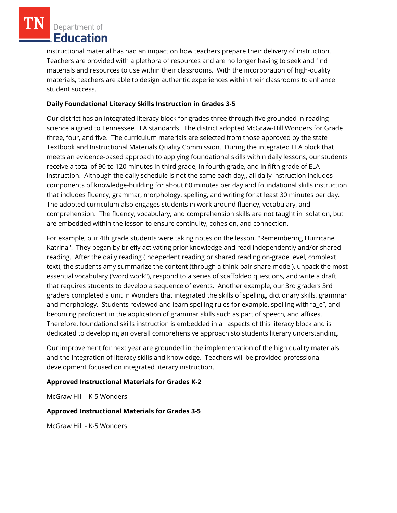Department of Education

instructional material has had an impact on how teachers prepare their delivery of instruction. Teachers are provided with a plethora of resources and are no longer having to seek and find materials and resources to use within their classrooms. With the incorporation of high-quality materials, teachers are able to design authentic experiences within their classrooms to enhance student success.

## **Daily Foundational Literacy Skills Instruction in Grades 3-5**

Our district has an integrated literacy block for grades three through five grounded in reading science aligned to Tennessee ELA standards. The district adopted McGraw-Hill Wonders for Grade three, four, and five. The curriculum materials are selected from those approved by the state Textbook and Instructional Materials Quality Commission. During the integrated ELA block that meets an evidence-based approach to applying foundational skills within daily lessons, our students receive a total of 90 to 120 minutes in third grade, in fourth grade, and in fifth grade of ELA instruction. Although the daily schedule is not the same each day,, all daily instruction includes components of knowledge-building for about 60 minutes per day and foundational skills instruction that includes fluency, grammar, morphology, spelling, and writing for at least 30 minutes per day. The adopted curriculum also engages students in work around fluency, vocabulary, and comprehension. The fluency, vocabulary, and comprehension skills are not taught in isolation, but are embedded within the lesson to ensure continuity, cohesion, and connection.

For example, our 4th grade students were taking notes on the lesson, "Remembering Hurricane Katrina". They began by briefly activating prior knowledge and read independently and/or shared reading. After the daily reading (indepedent reading or shared reading on-grade level, complext text), the students amy summarize the content (through a think-pair-share model), unpack the most essential vocabulary ('word work"), respond to a series of scaffolded questions, and write a draft that requires students to develop a sequence of events. Another example, our 3rd graders 3rd graders completed a unit in Wonders that integrated the skills of spelling, dictionary skills, grammar and morphology. Students reviewed and learn spelling rules for example, spelling with "a\_e", and becoming proficient in the application of grammar skills such as part of speech, and affixes. Therefore, foundational skills instruction is embedded in all aspects of this literacy block and is dedicated to developing an overall comprehensive approach sto students literary understanding.

Our improvement for next year are grounded in the implementation of the high quality materials and the integration of literacy skills and knowledge. Teachers will be provided professional development focused on integrated literacy instruction.

# **Approved Instructional Materials for Grades K-2**

McGraw Hill - K-5 Wonders

#### **Approved Instructional Materials for Grades 3-5**

McGraw Hill - K-5 Wonders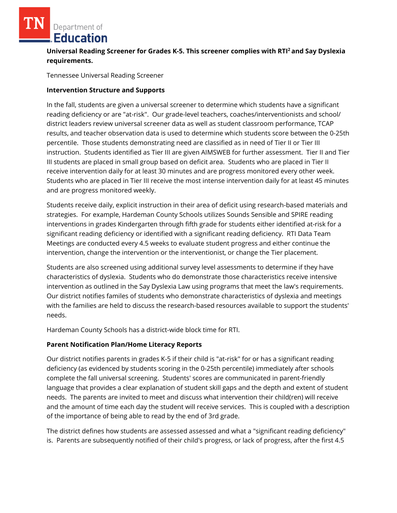Department of **Education** 

# **Universal Reading Screener for Grades K-5. This screener complies with RTI<sup>2</sup>and Say Dyslexia requirements.**

Tennessee Universal Reading Screener

#### **Intervention Structure and Supports**

In the fall, students are given a universal screener to determine which students have a significant reading deficiency or are "at-risk". Our grade-level teachers, coaches/interventionists and school/ district leaders review universal screener data as well as student classroom performance, TCAP results, and teacher observation data is used to determine which students score between the 0-25th percentile. Those students demonstrating need are classified as in need of Tier II or Tier III instruction. Students identified as Tier III are given AIMSWEB for further assessment. Tier II and Tier III students are placed in small group based on deficit area. Students who are placed in Tier II receive intervention daily for at least 30 minutes and are progress monitored every other week. Students who are placed in Tier III receive the most intense intervention daily for at least 45 minutes and are progress monitored weekly.

Students receive daily, explicit instruction in their area of deficit using research-based materials and strategies. For example, Hardeman County Schools utilizes Sounds Sensible and SPIRE reading interventions in grades Kindergarten through fifth grade for students either identified at-risk for a significant reading deficiency or identified with a significant reading deficiency. RTI Data Team Meetings are conducted every 4.5 weeks to evaluate student progress and either continue the intervention, change the intervention or the interventionist, or change the Tier placement.

Students are also screened using additional survey level assessments to determine if they have characteristics of dyslexia. Students who do demonstrate those characteristics receive intensive intervention as outlined in the Say Dyslexia Law using programs that meet the law's requirements. Our district notifies familes of students who demonstrate characteristics of dyslexia and meetings with the families are held to discuss the research-based resources available to support the students' needs.

Hardeman County Schools has a district-wide block time for RTI.

#### **Parent Notification Plan/Home Literacy Reports**

Our district notifies parents in grades K-5 if their child is "at-risk" for or has a significant reading deficiency (as evidenced by students scoring in the 0-25th percentile) immediately after schools complete the fall universal screening. Students' scores are communicated in parent-friendly language that provides a clear explanation of student skill gaps and the depth and extent of student needs. The parents are invited to meet and discuss what intervention their child(ren) will receive and the amount of time each day the student will receive services. This is coupled with a description of the importance of being able to read by the end of 3rd grade.

The district defines how students are assessed assessed and what a "significant reading deficiency" is. Parents are subsequently notified of their child's progress, or lack of progress, after the first 4.5